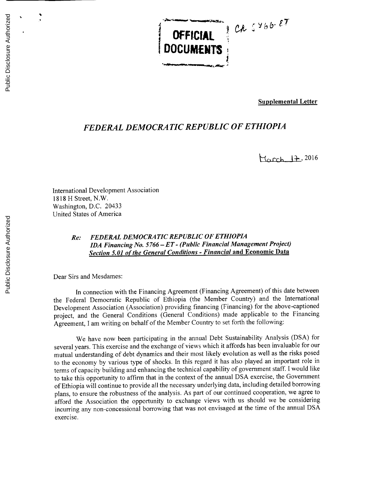**OFFICIAL**

**Supplemental Letter**

## *FEDERAL DEMOCRATIC REPUBLIC OF ETHIOPIA*

**DOCUMENTS**

**H,,Cc** J4-2016

International Development Association **1818** H Street, N.W. Washington, **D.C.** 20433 United States of America

## *Re: FEDERAL DEMOCRATIC REPUBLIC OF ETHIOPIA IDA Financing No. 5766* **-** *ET* **-** *(Public Financial Management Project) Section 5.01 of the General Conditions* **-** *Financial* **and Economic Data**

Dear Sirs and Mesdames:

In connection with the Financing Agreement (Financing Agreement) of this date between the Federal Democratic Republic of Ethiopia (the Member Country) and the International Development Association (Association) providing financing (Financing) for the above-captioned project, and the General Conditions (General Conditions) made applicable to the Financing Agreement, **I** am writing on behalf of the Member Country to set forth the following:

We have now been participating in the annual Debt Sustainability Analysis **(DSA)** for several years. This exercise and the exchange of views which it affords has been invaluable for our mutual understanding of debt dynamics and their most likely evolution as well as the risks posed to the economy **by** various type of shocks. In this regard it has also played an important role in terms of capacity building and enhancing the technical capability of government staff. **I** would like to take this opportunity to affirm that in the context of the annual **DSA** exercise, the Government of Ethiopia will continue to provide all the necessary underlying data, including detailed borrowing plans, to ensure the robustness of the analysis. As part of our continued cooperation, we agree to afford the Association the opportunity to exchange views with us should we be considering incurring any non-concessional borrowing that was not envisaged at the time of the annual **DSA** exercise.